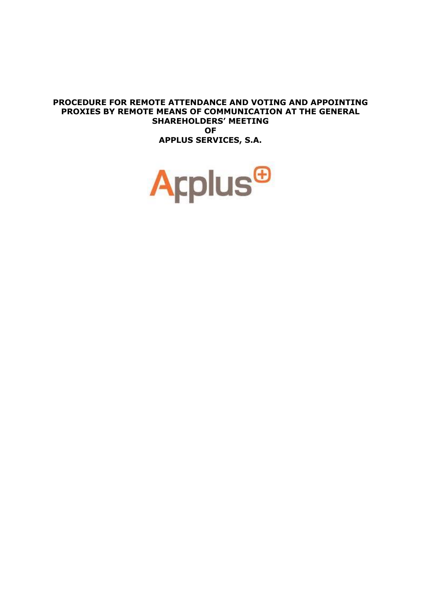#### **PROCEDURE FOR REMOTE ATTENDANCE AND VOTING AND APPOINTING PROXIES BY REMOTE MEANS OF COMMUNICATION AT THE GENERAL SHAREHOLDERS' MEETING OF APPLUS SERVICES, S.A.**

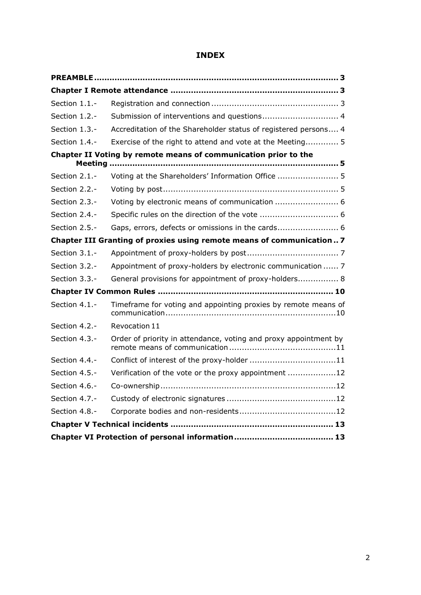# **INDEX**

| Section 1.1.-    |                                                                       |
|------------------|-----------------------------------------------------------------------|
| Section 1.2.-    | Submission of interventions and questions 4                           |
| Section 1.3.-    | Accreditation of the Shareholder status of registered persons 4       |
| Section 1.4.-    | Exercise of the right to attend and vote at the Meeting 5             |
| Meeting          | Chapter II Voting by remote means of communication prior to the       |
| Section 2.1.-    | Voting at the Shareholders' Information Office  5                     |
| Section 2.2.-    |                                                                       |
| Section $2.3$ .- | Voting by electronic means of communication  6                        |
| Section 2.4.-    | Specific rules on the direction of the vote  6                        |
| Section 2.5.-    |                                                                       |
|                  | Chapter III Granting of proxies using remote means of communication 7 |
| Section 3.1.-    |                                                                       |
| Section 3.2.-    | Appointment of proxy-holders by electronic communication  7           |
| Section 3.3.-    | General provisions for appointment of proxy-holders 8                 |
|                  |                                                                       |
| Section 4.1.-    | Timeframe for voting and appointing proxies by remote means of        |
| Section 4.2.-    | Revocation 11                                                         |
| Section 4.3.-    | Order of priority in attendance, voting and proxy appointment by      |
| Section 4.4.-    |                                                                       |
| Section 4.5.-    | Verification of the vote or the proxy appointment 12                  |
| Section 4.6.-    |                                                                       |
| Section 4.7.-    |                                                                       |
| Section 4.8.-    |                                                                       |
|                  |                                                                       |
|                  |                                                                       |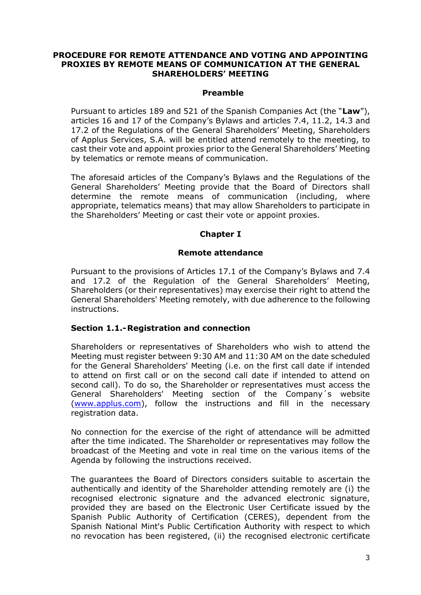#### **PROCEDURE FOR REMOTE ATTENDANCE AND VOTING AND APPOINTING PROXIES BY REMOTE MEANS OF COMMUNICATION AT THE GENERAL SHAREHOLDERS' MEETING**

#### **Preamble**

<span id="page-2-0"></span>Pursuant to articles 189 and 521 of the Spanish Companies Act (the "**Law**"), articles 16 and 17 of the Company's Bylaws and articles 7.4, 11.2, 14.3 and 17.2 of the Regulations of the General Shareholders' Meeting, Shareholders of Applus Services, S.A. will be entitled attend remotely to the meeting, to cast their vote and appoint proxies prior to the General Shareholders' Meeting by telematics or remote means of communication.

The aforesaid articles of the Company's Bylaws and the Regulations of the General Shareholders' Meeting provide that the Board of Directors shall determine the remote means of communication (including, where appropriate, telematics means) that may allow Shareholders to participate in the Shareholders' Meeting or cast their vote or appoint proxies.

## **Chapter I**

### **Remote attendance**

<span id="page-2-1"></span>Pursuant to the provisions of Articles 17.1 of the Company's Bylaws and 7.4 and 17.2 of the Regulation of the General Shareholders' Meeting, Shareholders (or their representatives) may exercise their right to attend the General Shareholders' Meeting remotely, with due adherence to the following instructions.

#### <span id="page-2-2"></span>**Section 1.1.-Registration and connection**

Shareholders or representatives of Shareholders who wish to attend the Meeting must register between 9:30 AM and 11:30 AM on the date scheduled for the General Shareholders' Meeting (i.e. on the first call date if intended to attend on first call or on the second call date if intended to attend on second call). To do so, the Shareholder or representatives must access the General Shareholders' Meeting section of the Company´s website (www.applus.com), follow the instructions and fill in the necessary registration data.

No connection for the exercise of the right of attendance will be admitted after the time indicated. The Shareholder or representatives may follow the broadcast of the Meeting and vote in real time on the various items of the Agenda by following the instructions received.

The guarantees the Board of Directors considers suitable to ascertain the authentically and identity of the Shareholder attending remotely are (i) the recognised electronic signature and the advanced electronic signature, provided they are based on the Electronic User Certificate issued by the Spanish Public Authority of Certification (CERES), dependent from the Spanish National Mint's Public Certification Authority with respect to which no revocation has been registered, (ii) the recognised electronic certificate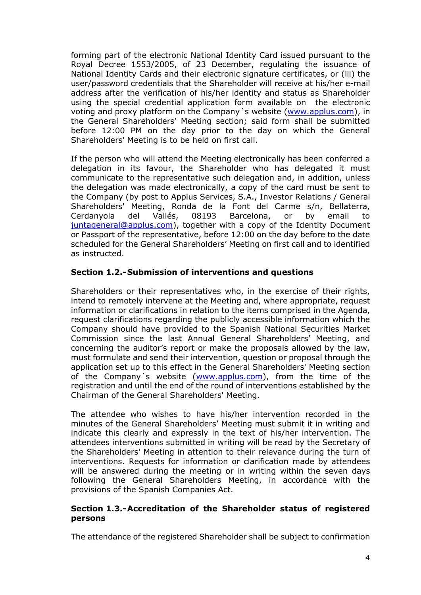forming part of the electronic National Identity Card issued pursuant to the Royal Decree 1553/2005, of 23 December, regulating the issuance of National Identity Cards and their electronic signature certificates, or (iii) the user/password credentials that the Shareholder will receive at his/her e-mail address after the verification of his/her identity and status as Shareholder using the special credential application form available on the electronic voting and proxy platform on the Company's website [\(www.applus.com\)](http://www.applus.com/), in the General Shareholders' Meeting section; said form shall be submitted before 12:00 PM on the day prior to the day on which the General Shareholders' Meeting is to be held on first call.

If the person who will attend the Meeting electronically has been conferred a delegation in its favour, the Shareholder who has delegated it must communicate to the representative such delegation and, in addition, unless the delegation was made electronically, a copy of the card must be sent to the Company (by post to Applus Services, S.A., Investor Relations / General Shareholders' Meeting, Ronda de la Font del Carme s/n, Bellaterra, Cerdanyola del Vallés, 08193 Barcelona, or by email to [juntageneral@applus.com\)](mailto:juntageneral@applus.com), together with a copy of the Identity Document or Passport of the representative, before 12:00 on the day before to the date scheduled for the General Shareholders' Meeting on first call and to identified as instructed.

## <span id="page-3-0"></span>**Section 1.2.-Submission of interventions and questions**

Shareholders or their representatives who, in the exercise of their rights, intend to remotely intervene at the Meeting and, where appropriate, request information or clarifications in relation to the items comprised in the Agenda, request clarifications regarding the publicly accessible information which the Company should have provided to the Spanish National Securities Market Commission since the last Annual General Shareholders' Meeting, and concerning the auditor's report or make the proposals allowed by the law, must formulate and send their intervention, question or proposal through the application set up to this effect in the General Shareholders' Meeting section of the Company´s website [\(www.applus.com\)](http://www.applus.com/), from the time of the registration and until the end of the round of interventions established by the Chairman of the General Shareholders' Meeting.

The attendee who wishes to have his/her intervention recorded in the minutes of the General Shareholders' Meeting must submit it in writing and indicate this clearly and expressly in the text of his/her intervention. The attendees interventions submitted in writing will be read by the Secretary of the Shareholders' Meeting in attention to their relevance during the turn of interventions. Requests for information or clarification made by attendees will be answered during the meeting or in writing within the seven days following the General Shareholders Meeting, in accordance with the provisions of the Spanish Companies Act.

### <span id="page-3-1"></span>**Section 1.3.-Accreditation of the Shareholder status of registered persons**

The attendance of the registered Shareholder shall be subject to confirmation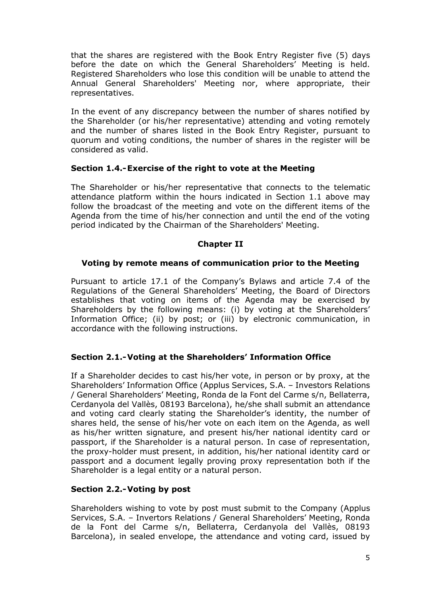that the shares are registered with the Book Entry Register five (5) days before the date on which the General Shareholders' Meeting is held. Registered Shareholders who lose this condition will be unable to attend the Annual General Shareholders' Meeting nor, where appropriate, their representatives.

In the event of any discrepancy between the number of shares notified by the Shareholder (or his/her representative) attending and voting remotely and the number of shares listed in the Book Entry Register, pursuant to quorum and voting conditions, the number of shares in the register will be considered as valid.

## <span id="page-4-0"></span>**Section 1.4.-Exercise of the right to vote at the Meeting**

The Shareholder or his/her representative that connects to the telematic attendance platform within the hours indicated in Section 1.1 above may follow the broadcast of the meeting and vote on the different items of the Agenda from the time of his/her connection and until the end of the voting period indicated by the Chairman of the Shareholders' Meeting.

## **Chapter II**

### <span id="page-4-1"></span>**Voting by remote means of communication prior to the Meeting**

Pursuant to article 17.1 of the Company's Bylaws and article 7.4 of the Regulations of the General Shareholders' Meeting, the Board of Directors establishes that voting on items of the Agenda may be exercised by Shareholders by the following means: (i) by voting at the Shareholders' Information Office; (ii) by post; or (iii) by electronic communication, in accordance with the following instructions.

### <span id="page-4-2"></span>**Section 2.1.-Voting at the Shareholders' Information Office**

If a Shareholder decides to cast his/her vote, in person or by proxy, at the Shareholders' Information Office (Applus Services, S.A. – Investors Relations / General Shareholders' Meeting, Ronda de la Font del Carme s/n, Bellaterra, Cerdanyola del Vallès, 08193 Barcelona), he/she shall submit an attendance and voting card clearly stating the Shareholder's identity, the number of shares held, the sense of his/her vote on each item on the Agenda, as well as his/her written signature, and present his/her national identity card or passport, if the Shareholder is a natural person. In case of representation, the proxy-holder must present, in addition, his/her national identity card or passport and a document legally proving proxy representation both if the Shareholder is a legal entity or a natural person.

### <span id="page-4-3"></span>**Section 2.2.-Voting by post**

Shareholders wishing to vote by post must submit to the Company (Applus Services, S.A. – Invertors Relations / General Shareholders' Meeting, Ronda de la Font del Carme s/n, Bellaterra, Cerdanyola del Vallès, 08193 Barcelona), in sealed envelope, the attendance and voting card, issued by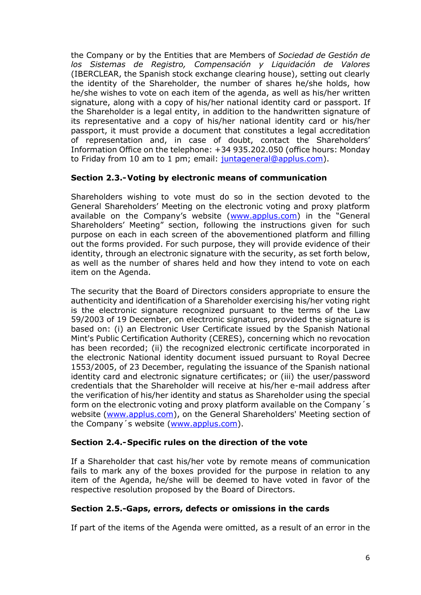the Company or by the Entities that are Members of *Sociedad de Gestión de los Sistemas de Registro, Compensación y Liquidación de Valores*  (IBERCLEAR, the Spanish stock exchange clearing house), setting out clearly the identity of the Shareholder, the number of shares he/she holds, how he/she wishes to vote on each item of the agenda, as well as his/her written signature, along with a copy of his/her national identity card or passport. If the Shareholder is a legal entity, in addition to the handwritten signature of its representative and a copy of his/her national identity card or his/her passport, it must provide a document that constitutes a legal accreditation of representation and, in case of doubt, contact the Shareholders' Information Office on the telephone: +34 935.202.050 (office hours: Monday to Friday from 10 am to 1 pm; email: [juntageneral@applus.com\)](mailto:juntageneral@applus.com).

## <span id="page-5-0"></span>**Section 2.3.-Voting by electronic means of communication**

Shareholders wishing to vote must do so in the section devoted to the General Shareholders' Meeting on the electronic voting and proxy platform available on the Company's website ([www.applus.com\)](http://www.applus.com/) in the "General Shareholders' Meeting" section, following the instructions given for such purpose on each in each screen of the abovementioned platform and filling out the forms provided. For such purpose, they will provide evidence of their identity, through an electronic signature with the security, as set forth below, as well as the number of shares held and how they intend to vote on each item on the Agenda.

The security that the Board of Directors considers appropriate to ensure the authenticity and identification of a Shareholder exercising his/her voting right is the electronic signature recognized pursuant to the terms of the Law 59/2003 of 19 December, on electronic signatures, provided the signature is based on: (i) an Electronic User Certificate issued by the Spanish National Mint's Public Certification Authority (CERES), concerning which no revocation has been recorded; (ii) the recognized electronic certificate incorporated in the electronic National identity document issued pursuant to Royal Decree 1553/2005, of 23 December, regulating the issuance of the Spanish national identity card and electronic signature certificates; or (iii) the user/password credentials that the Shareholder will receive at his/her e-mail address after the verification of his/her identity and status as Shareholder using the special form on the electronic voting and proxy platform available on the Company´s website [\(www.applus.com\)](http://www.applus.com/), on the General Shareholders' Meeting section of the Company´s website [\(www.applus.com\)](http://www.applus.es/).

### <span id="page-5-1"></span>**Section 2.4.-Specific rules on the direction of the vote**

If a Shareholder that cast his/her vote by remote means of communication fails to mark any of the boxes provided for the purpose in relation to any item of the Agenda, he/she will be deemed to have voted in favor of the respective resolution proposed by the Board of Directors.

### <span id="page-5-2"></span>**Section 2.5.-Gaps, errors, defects or omissions in the cards**

If part of the items of the Agenda were omitted, as a result of an error in the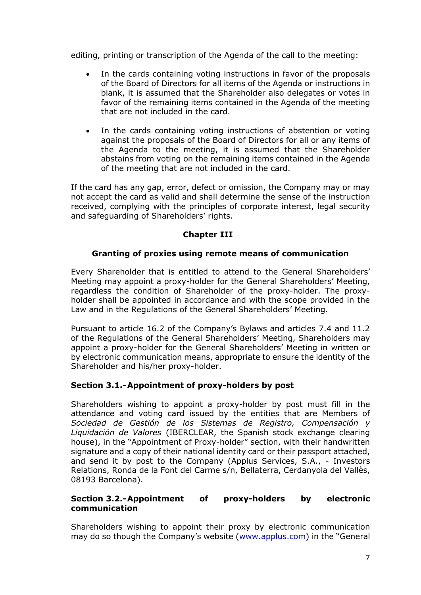editing, printing or transcription of the Agenda of the call to the meeting:

- In the cards containing voting instructions in favor of the proposals of the Board of Directors for all items of the Agenda or instructions in blank, it is assumed that the Shareholder also delegates or votes in favor of the remaining items contained in the Agenda of the meeting that are not included in the card.
- In the cards containing voting instructions of abstention or voting against the proposals of the Board of Directors for all or any items of the Agenda to the meeting, it is assumed that the Shareholder abstains from voting on the remaining items contained in the Agenda of the meeting that are not included in the card.

If the card has any gap, error, defect or omission, the Company may or may not accept the card as valid and shall determine the sense of the instruction received, complying with the principles of corporate interest, legal security and safeguarding of Shareholders' rights.

## **Chapter III**

## **Granting of proxies using remote means of communication**

<span id="page-6-0"></span>Every Shareholder that is entitled to attend to the General Shareholders' Meeting may appoint a proxy-holder for the General Shareholders' Meeting, regardless the condition of Shareholder of the proxy-holder. The proxyholder shall be appointed in accordance and with the scope provided in the Law and in the Regulations of the General Shareholders' Meeting.

Pursuant to article 16.2 of the Company's Bylaws and articles 7.4 and 11.2 of the Regulations of the General Shareholders' Meeting, Shareholders may appoint a proxy-holder for the General Shareholders' Meeting in written or by electronic communication means, appropriate to ensure the identity of the Shareholder and his/her proxy-holder.

## <span id="page-6-1"></span>**Section 3.1.-Appointment of proxy-holders by post**

Shareholders wishing to appoint a proxy-holder by post must fill in the attendance and voting card issued by the entities that are Members of *Sociedad de Gestión de los Sistemas de Registro, Compensación y Liquidación de Valores* (IBERCLEAR, the Spanish stock exchange clearing house), in the "Appointment of Proxy-holder" section, with their handwritten signature and a copy of their national identity card or their passport attached, and send it by post to the Company (Applus Services, S.A., - Investors Relations, Ronda de la Font del Carme s/n, Bellaterra, Cerdanyola del Vallès, 08193 Barcelona).

### <span id="page-6-2"></span>**Section 3.2.-Appointment of proxy-holders by electronic communication**

Shareholders wishing to appoint their proxy by electronic communication may do so though the Company's website ([www.applus.com\)](http://www.applus.com/) in the "General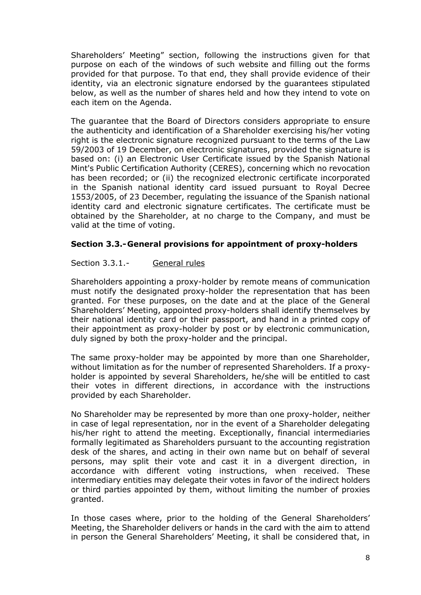Shareholders' Meeting" section, following the instructions given for that purpose on each of the windows of such website and filling out the forms provided for that purpose. To that end, they shall provide evidence of their identity, via an electronic signature endorsed by the guarantees stipulated below, as well as the number of shares held and how they intend to vote on each item on the Agenda.

The guarantee that the Board of Directors considers appropriate to ensure the authenticity and identification of a Shareholder exercising his/her voting right is the electronic signature recognized pursuant to the terms of the Law 59/2003 of 19 December, on electronic signatures, provided the signature is based on: (i) an Electronic User Certificate issued by the Spanish National Mint's Public Certification Authority (CERES), concerning which no revocation has been recorded; or (ii) the recognized electronic certificate incorporated in the Spanish national identity card issued pursuant to Royal Decree 1553/2005, of 23 December, regulating the issuance of the Spanish national identity card and electronic signature certificates. The certificate must be obtained by the Shareholder, at no charge to the Company, and must be valid at the time of voting.

### <span id="page-7-0"></span>**Section 3.3.-General provisions for appointment of proxy-holders**

### Section 3.3.1.- General rules

Shareholders appointing a proxy-holder by remote means of communication must notify the designated proxy-holder the representation that has been granted. For these purposes, on the date and at the place of the General Shareholders' Meeting, appointed proxy-holders shall identify themselves by their national identity card or their passport, and hand in a printed copy of their appointment as proxy-holder by post or by electronic communication, duly signed by both the proxy-holder and the principal.

The same proxy-holder may be appointed by more than one Shareholder, without limitation as for the number of represented Shareholders. If a proxyholder is appointed by several Shareholders, he/she will be entitled to cast their votes in different directions, in accordance with the instructions provided by each Shareholder.

No Shareholder may be represented by more than one proxy-holder, neither in case of legal representation, nor in the event of a Shareholder delegating his/her right to attend the meeting. Exceptionally, financial intermediaries formally legitimated as Shareholders pursuant to the accounting registration desk of the shares, and acting in their own name but on behalf of several persons, may split their vote and cast it in a divergent direction, in accordance with different voting instructions, when received. These intermediary entities may delegate their votes in favor of the indirect holders or third parties appointed by them, without limiting the number of proxies granted.

In those cases where, prior to the holding of the General Shareholders' Meeting, the Shareholder delivers or hands in the card with the aim to attend in person the General Shareholders' Meeting, it shall be considered that, in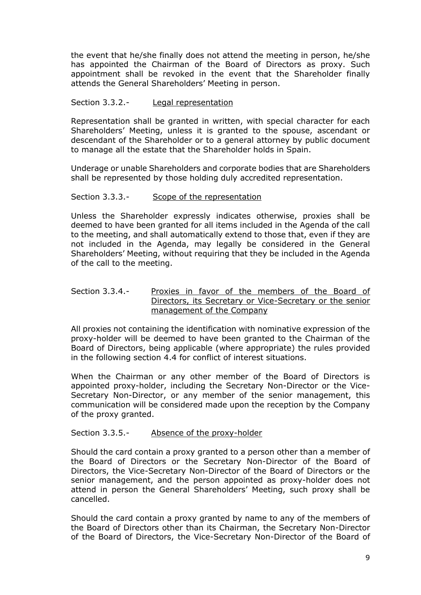the event that he/she finally does not attend the meeting in person, he/she has appointed the Chairman of the Board of Directors as proxy. Such appointment shall be revoked in the event that the Shareholder finally attends the General Shareholders' Meeting in person.

#### Section 3.3.2.- Legal representation

Representation shall be granted in written, with special character for each Shareholders' Meeting, unless it is granted to the spouse, ascendant or descendant of the Shareholder or to a general attorney by public document to manage all the estate that the Shareholder holds in Spain.

Underage or unable Shareholders and corporate bodies that are Shareholders shall be represented by those holding duly accredited representation.

#### Section 3.3.3.- Scope of the representation

Unless the Shareholder expressly indicates otherwise, proxies shall be deemed to have been granted for all items included in the Agenda of the call to the meeting, and shall automatically extend to those that, even if they are not included in the Agenda, may legally be considered in the General Shareholders' Meeting, without requiring that they be included in the Agenda of the call to the meeting.

#### Section 3.3.4.- Proxies in favor of the members of the Board of Directors, its Secretary or Vice-Secretary or the senior management of the Company

All proxies not containing the identification with nominative expression of the proxy-holder will be deemed to have been granted to the Chairman of the Board of Directors, being applicable (where appropriate) the rules provided in the following section 4.4 for conflict of interest situations.

When the Chairman or any other member of the Board of Directors is appointed proxy-holder, including the Secretary Non-Director or the Vice-Secretary Non-Director, or any member of the senior management, this communication will be considered made upon the reception by the Company of the proxy granted.

Section 3.3.5.- Absence of the proxy-holder

Should the card contain a proxy granted to a person other than a member of the Board of Directors or the Secretary Non-Director of the Board of Directors, the Vice-Secretary Non-Director of the Board of Directors or the senior management, and the person appointed as proxy-holder does not attend in person the General Shareholders' Meeting, such proxy shall be cancelled.

Should the card contain a proxy granted by name to any of the members of the Board of Directors other than its Chairman, the Secretary Non-Director of the Board of Directors, the Vice-Secretary Non-Director of the Board of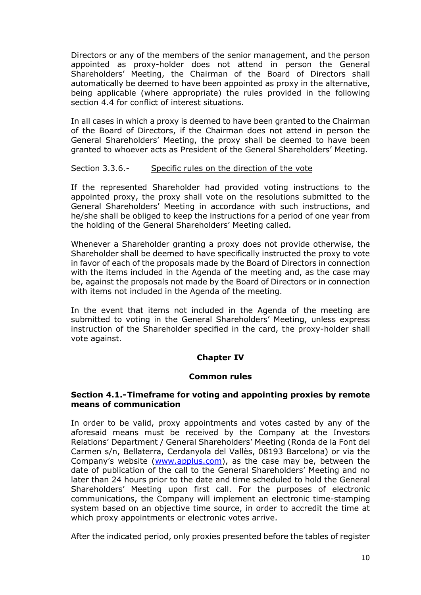Directors or any of the members of the senior management, and the person appointed as proxy-holder does not attend in person the General Shareholders' Meeting, the Chairman of the Board of Directors shall automatically be deemed to have been appointed as proxy in the alternative, being applicable (where appropriate) the rules provided in the following section 4.4 for conflict of interest situations.

In all cases in which a proxy is deemed to have been granted to the Chairman of the Board of Directors, if the Chairman does not attend in person the General Shareholders' Meeting, the proxy shall be deemed to have been granted to whoever acts as President of the General Shareholders' Meeting.

#### Section 3.3.6.- Specific rules on the direction of the vote

If the represented Shareholder had provided voting instructions to the appointed proxy, the proxy shall vote on the resolutions submitted to the General Shareholders' Meeting in accordance with such instructions, and he/she shall be obliged to keep the instructions for a period of one year from the holding of the General Shareholders' Meeting called.

Whenever a Shareholder granting a proxy does not provide otherwise, the Shareholder shall be deemed to have specifically instructed the proxy to vote in favor of each of the proposals made by the Board of Directors in connection with the items included in the Agenda of the meeting and, as the case may be, against the proposals not made by the Board of Directors or in connection with items not included in the Agenda of the meeting.

In the event that items not included in the Agenda of the meeting are submitted to voting in the General Shareholders' Meeting, unless express instruction of the Shareholder specified in the card, the proxy-holder shall vote against.

### **Chapter IV**

### **Common rules**

#### <span id="page-9-1"></span><span id="page-9-0"></span>**Section 4.1.-Timeframe for voting and appointing proxies by remote means of communication**

In order to be valid, proxy appointments and votes casted by any of the aforesaid means must be received by the Company at the Investors Relations' Department / General Shareholders' Meeting (Ronda de la Font del Carmen s/n, Bellaterra, Cerdanyola del Vallès, 08193 Barcelona) or via the Company's website ([www.applus.com\)](http://www.applus.com/), as the case may be, between the date of publication of the call to the General Shareholders' Meeting and no later than 24 hours prior to the date and time scheduled to hold the General Shareholders' Meeting upon first call. For the purposes of electronic communications, the Company will implement an electronic time-stamping system based on an objective time source, in order to accredit the time at which proxy appointments or electronic votes arrive.

After the indicated period, only proxies presented before the tables of register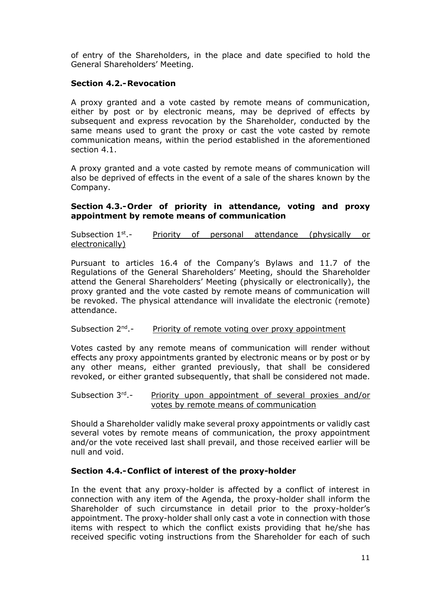of entry of the Shareholders, in the place and date specified to hold the General Shareholders' Meeting.

### <span id="page-10-0"></span>**Section 4.2.-Revocation**

A proxy granted and a vote casted by remote means of communication, either by post or by electronic means, may be deprived of effects by subsequent and express revocation by the Shareholder, conducted by the same means used to grant the proxy or cast the vote casted by remote communication means, within the period established in the aforementioned section 4.1.

A proxy granted and a vote casted by remote means of communication will also be deprived of effects in the event of a sale of the shares known by the Company.

### <span id="page-10-1"></span>**Section 4.3.-Order of priority in attendance, voting and proxy appointment by remote means of communication**

Subsection  $1<sup>st</sup>$  -Priority of personal attendance (physically or electronically)

Pursuant to articles 16.4 of the Company's Bylaws and 11.7 of the Regulations of the General Shareholders' Meeting, should the Shareholder attend the General Shareholders' Meeting (physically or electronically), the proxy granted and the vote casted by remote means of communication will be revoked. The physical attendance will invalidate the electronic (remote) attendance.

Subsection 2<sup>nd</sup>.-Priority of remote voting over proxy appointment

Votes casted by any remote means of communication will render without effects any proxy appointments granted by electronic means or by post or by any other means, either granted previously, that shall be considered revoked, or either granted subsequently, that shall be considered not made.

Subsection 3rd -Priority upon appointment of several proxies and/or votes by remote means of communication

Should a Shareholder validly make several proxy appointments or validly cast several votes by remote means of communication, the proxy appointment and/or the vote received last shall prevail, and those received earlier will be null and void.

### <span id="page-10-2"></span>**Section 4.4.-Conflict of interest of the proxy-holder**

In the event that any proxy-holder is affected by a conflict of interest in connection with any item of the Agenda, the proxy-holder shall inform the Shareholder of such circumstance in detail prior to the proxy-holder's appointment. The proxy-holder shall only cast a vote in connection with those items with respect to which the conflict exists providing that he/she has received specific voting instructions from the Shareholder for each of such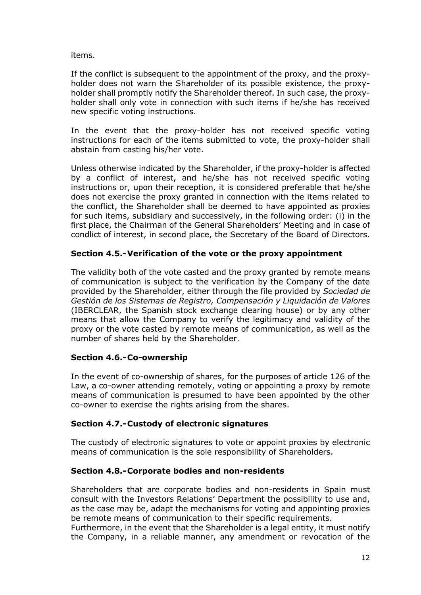items.

If the conflict is subsequent to the appointment of the proxy, and the proxyholder does not warn the Shareholder of its possible existence, the proxyholder shall promptly notify the Shareholder thereof. In such case, the proxyholder shall only vote in connection with such items if he/she has received new specific voting instructions.

In the event that the proxy-holder has not received specific voting instructions for each of the items submitted to vote, the proxy-holder shall abstain from casting his/her vote.

Unless otherwise indicated by the Shareholder, if the proxy-holder is affected by a conflict of interest, and he/she has not received specific voting instructions or, upon their reception, it is considered preferable that he/she does not exercise the proxy granted in connection with the items related to the conflict, the Shareholder shall be deemed to have appointed as proxies for such items, subsidiary and successively, in the following order: (i) in the first place, the Chairman of the General Shareholders' Meeting and in case of condlict of interest, in second place, the Secretary of the Board of Directors.

## <span id="page-11-0"></span>**Section 4.5.-Verification of the vote or the proxy appointment**

The validity both of the vote casted and the proxy granted by remote means of communication is subject to the verification by the Company of the date provided by the Shareholder, either through the file provided by *Sociedad de Gestión de los Sistemas de Registro, Compensación y Liquidación de Valores*  (IBERCLEAR, the Spanish stock exchange clearing house) or by any other means that allow the Company to verify the legitimacy and validity of the proxy or the vote casted by remote means of communication, as well as the number of shares held by the Shareholder.

### <span id="page-11-1"></span>**Section 4.6.-Co-ownership**

In the event of co-ownership of shares, for the purposes of article 126 of the Law, a co-owner attending remotely, voting or appointing a proxy by remote means of communication is presumed to have been appointed by the other co-owner to exercise the rights arising from the shares.

### <span id="page-11-2"></span>**Section 4.7.-Custody of electronic signatures**

The custody of electronic signatures to vote or appoint proxies by electronic means of communication is the sole responsibility of Shareholders.

### <span id="page-11-3"></span>**Section 4.8.-Corporate bodies and non-residents**

Shareholders that are corporate bodies and non-residents in Spain must consult with the Investors Relations' Department the possibility to use and, as the case may be, adapt the mechanisms for voting and appointing proxies be remote means of communication to their specific requirements.

Furthermore, in the event that the Shareholder is a legal entity, it must notify the Company, in a reliable manner, any amendment or revocation of the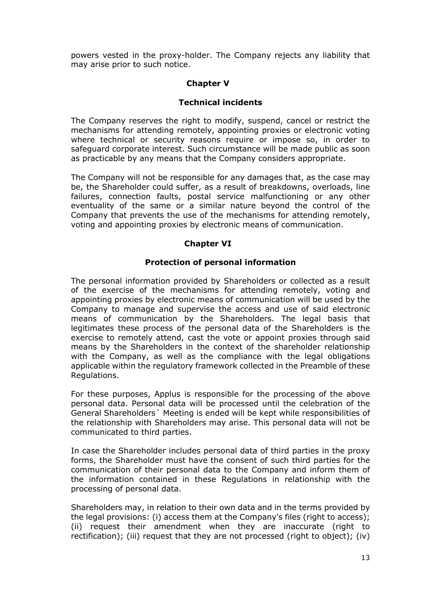<span id="page-12-0"></span>powers vested in the proxy-holder. The Company rejects any liability that may arise prior to such notice.

## **Chapter V**

## **Technical incidents**

The Company reserves the right to modify, suspend, cancel or restrict the mechanisms for attending remotely, appointing proxies or electronic voting where technical or security reasons require or impose so, in order to safeguard corporate interest. Such circumstance will be made public as soon as practicable by any means that the Company considers appropriate.

The Company will not be responsible for any damages that, as the case may be, the Shareholder could suffer, as a result of breakdowns, overloads, line failures, connection faults, postal service malfunctioning or any other eventuality of the same or a similar nature beyond the control of the Company that prevents the use of the mechanisms for attending remotely, voting and appointing proxies by electronic means of communication.

## **Chapter VI**

## **Protection of personal information**

<span id="page-12-1"></span>The personal information provided by Shareholders or collected as a result of the exercise of the mechanisms for attending remotely, voting and appointing proxies by electronic means of communication will be used by the Company to manage and supervise the access and use of said electronic means of communication by the Shareholders. The legal basis that legitimates these process of the personal data of the Shareholders is the exercise to remotely attend, cast the vote or appoint proxies through said means by the Shareholders in the context of the shareholder relationship with the Company, as well as the compliance with the legal obligations applicable within the regulatory framework collected in the Preamble of these Regulations.

For these purposes, Applus is responsible for the processing of the above personal data. Personal data will be processed until the celebration of the General Shareholders´ Meeting is ended will be kept while responsibilities of the relationship with Shareholders may arise. This personal data will not be communicated to third parties.

In case the Shareholder includes personal data of third parties in the proxy forms, the Shareholder must have the consent of such third parties for the communication of their personal data to the Company and inform them of the information contained in these Regulations in relationship with the processing of personal data.

Shareholders may, in relation to their own data and in the terms provided by the legal provisions: (i) access them at the Company's files (right to access); (ii) request their amendment when they are inaccurate (right to rectification); (iii) request that they are not processed (right to object); (iv)